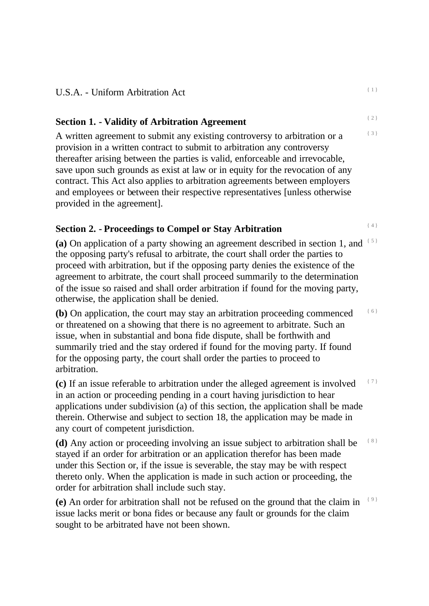## **Section 1. - Validity of Arbitration Agreement**

A written agreement to submit any existing controversy to arbitration or a provision in a written contract to submit to arbitration any controversy thereafter arising between the parties is valid, enforceable and irrevocable, save upon such grounds as exist at law or in equity for the revocation of any contract. This Act also applies to arbitration agreements between employers and employees or between their respective representatives [unless otherwise provided in the agreement].

## **Section 2. - Proceedings to Compel or Stay Arbitration** { <sup>4</sup> }

(a) On application of a party showing an agreement described in section 1, and  $\{5\}$ the opposing party's refusal to arbitrate, the court shall order the parties to proceed with arbitration, but if the opposing party denies the existence of the agreement to arbitrate, the court shall proceed summarily to the determination of the issue so raised and shall order arbitration if found for the moving party, otherwise, the application shall be denied.

**(b)** On application, the court may stay an arbitration proceeding commenced or threatened on a showing that there is no agreement to arbitrate. Such an issue, when in substantial and bona fide dispute, shall be forthwith and summarily tried and the stay ordered if found for the moving party. If found for the opposing party, the court shall order the parties to proceed to arbitration. { 6 }

**(c)** If an issue referable to arbitration under the alleged agreement is involved in an action or proceeding pending in a court having jurisdiction to hear applications under subdivision (a) of this section, the application shall be made therein. Otherwise and subject to section 18, the application may be made in any court of competent jurisdiction. { 7 }

**(d)** Any action or proceeding involving an issue subject to arbitration shall be stayed if an order for arbitration or an application therefor has been made under this Section or, if the issue is severable, the stay may be with respect thereto only. When the application is made in such action or proceeding, the order for arbitration shall include such stay. { 8 }

**(e)** An order for arbitration shall not be refused on the ground that the claim in issue lacks merit or bona fides or because any fault or grounds for the claim sought to be arbitrated have not been shown. { 9 }

{ 3 }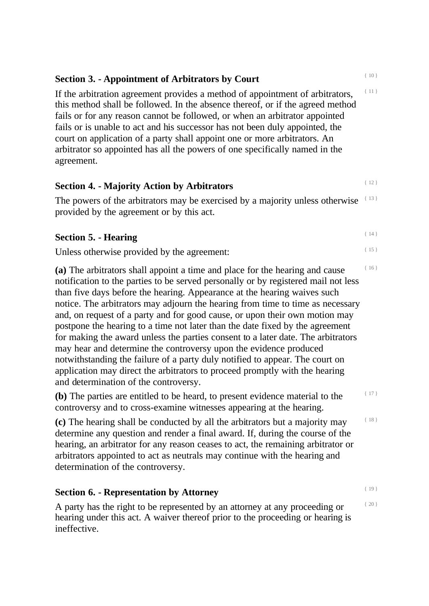| <b>Section 3. - Appointment of Arbitrators by Court</b>                                                                                                                                                                                                                                                                                                                                                                                                                                                                                                                                                                                                                                                                                                                                                                                                           | ${10}$   |
|-------------------------------------------------------------------------------------------------------------------------------------------------------------------------------------------------------------------------------------------------------------------------------------------------------------------------------------------------------------------------------------------------------------------------------------------------------------------------------------------------------------------------------------------------------------------------------------------------------------------------------------------------------------------------------------------------------------------------------------------------------------------------------------------------------------------------------------------------------------------|----------|
| If the arbitration agreement provides a method of appointment of arbitrators,<br>this method shall be followed. In the absence thereof, or if the agreed method<br>fails or for any reason cannot be followed, or when an arbitrator appointed<br>fails or is unable to act and his successor has not been duly appointed, the<br>court on application of a party shall appoint one or more arbitrators. An<br>arbitrator so appointed has all the powers of one specifically named in the<br>agreement.                                                                                                                                                                                                                                                                                                                                                          | ${11}$   |
| <b>Section 4. - Majority Action by Arbitrators</b>                                                                                                                                                                                                                                                                                                                                                                                                                                                                                                                                                                                                                                                                                                                                                                                                                | ${12}$   |
| The powers of the arbitrators may be exercised by a majority unless otherwise<br>provided by the agreement or by this act.                                                                                                                                                                                                                                                                                                                                                                                                                                                                                                                                                                                                                                                                                                                                        | ${13}$   |
| <b>Section 5. - Hearing</b>                                                                                                                                                                                                                                                                                                                                                                                                                                                                                                                                                                                                                                                                                                                                                                                                                                       | ${14}$   |
| Unless otherwise provided by the agreement:                                                                                                                                                                                                                                                                                                                                                                                                                                                                                                                                                                                                                                                                                                                                                                                                                       | ${15}$   |
| (a) The arbitrators shall appoint a time and place for the hearing and cause<br>notification to the parties to be served personally or by registered mail not less<br>than five days before the hearing. Appearance at the hearing waives such<br>notice. The arbitrators may adjourn the hearing from time to time as necessary<br>and, on request of a party and for good cause, or upon their own motion may<br>postpone the hearing to a time not later than the date fixed by the agreement<br>for making the award unless the parties consent to a later date. The arbitrators<br>may hear and determine the controversy upon the evidence produced<br>notwithstanding the failure of a party duly notified to appear. The court on<br>application may direct the arbitrators to proceed promptly with the hearing<br>and determination of the controversy. | ${16}$   |
| (b) The parties are entitled to be heard, to present evidence material to the<br>controversy and to cross-examine witnesses appearing at the hearing.                                                                                                                                                                                                                                                                                                                                                                                                                                                                                                                                                                                                                                                                                                             | $\{17\}$ |
| (c) The hearing shall be conducted by all the arbitrators but a majority may<br>determine any question and render a final award. If, during the course of the<br>hearing, an arbitrator for any reason ceases to act, the remaining arbitrator or<br>arbitrators appointed to act as neutrals may continue with the hearing and<br>determination of the controversy.                                                                                                                                                                                                                                                                                                                                                                                                                                                                                              | ${18}$   |
| <b>Section 6. - Representation by Attorney</b>                                                                                                                                                                                                                                                                                                                                                                                                                                                                                                                                                                                                                                                                                                                                                                                                                    | ${19}$   |
| A party has the right to be represented by an attorney at any proceeding or<br>hearing under this act. A waiver thereof prior to the proceeding or hearing is<br>ineffective.                                                                                                                                                                                                                                                                                                                                                                                                                                                                                                                                                                                                                                                                                     | ${20}$   |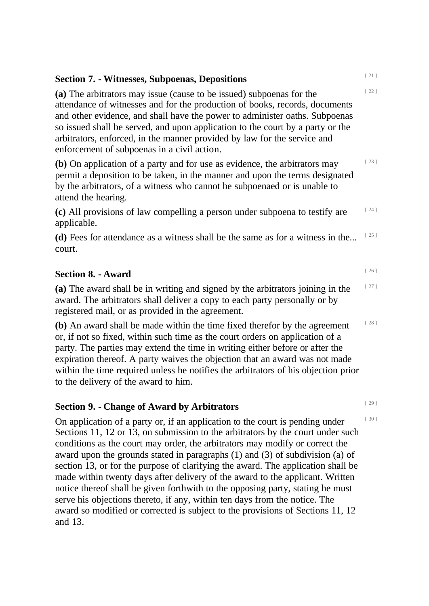| <b>Section 7. - Witnesses, Subpoenas, Depositions</b>                                                                                                                                                                                                                                                                                                                                                                                                    | ${21}$ |
|----------------------------------------------------------------------------------------------------------------------------------------------------------------------------------------------------------------------------------------------------------------------------------------------------------------------------------------------------------------------------------------------------------------------------------------------------------|--------|
| (a) The arbitrators may issue (cause to be issued) subpoenas for the<br>attendance of witnesses and for the production of books, records, documents<br>and other evidence, and shall have the power to administer oaths. Subpoenas<br>so issued shall be served, and upon application to the court by a party or the<br>arbitrators, enforced, in the manner provided by law for the service and<br>enforcement of subpoenas in a civil action.          | ${22}$ |
| (b) On application of a party and for use as evidence, the arbitrators may<br>permit a deposition to be taken, in the manner and upon the terms designated<br>by the arbitrators, of a witness who cannot be subpoenaed or is unable to<br>attend the hearing.                                                                                                                                                                                           | ${23}$ |
| (c) All provisions of law compelling a person under subpoena to testify are<br>applicable.                                                                                                                                                                                                                                                                                                                                                               | ${24}$ |
| (d) Fees for attendance as a witness shall be the same as for a witness in the<br>court.                                                                                                                                                                                                                                                                                                                                                                 | ${25}$ |
| <b>Section 8. - Award</b>                                                                                                                                                                                                                                                                                                                                                                                                                                | ${26}$ |
| (a) The award shall be in writing and signed by the arbitrators joining in the<br>award. The arbitrators shall deliver a copy to each party personally or by<br>registered mail, or as provided in the agreement.                                                                                                                                                                                                                                        | ${27}$ |
| (b) An award shall be made within the time fixed therefor by the agreement<br>or, if not so fixed, within such time as the court orders on application of a<br>party. The parties may extend the time in writing either before or after the<br>expiration thereof. A party waives the objection that an award was not made<br>within the time required unless he notifies the arbitrators of his objection prior<br>to the delivery of the award to him. | ${28}$ |
| <b>Section 9. - Change of Award by Arbitrators</b>                                                                                                                                                                                                                                                                                                                                                                                                       | ${29}$ |
| On application of a party or, if an application to the court is pending under<br>Sections 11, 12 or 13, on submission to the arbitrators by the court under such<br>conditions as the court may order, the arbitrators may modify or correct the<br>award upon the grounds stated in paragraphs (1) and (3) of subdivision (a) of<br>section 13, or for the purpose of clarifying the award. The application shall be                                    | ${30}$ |

made within twenty days after delivery of the award to the applicant. Written notice thereof shall be given forthwith to the opposing party, stating he must serve his objections thereto, if any, within ten days from the notice. The award so modified or corrected is subject to the provisions of Sections 11, 12 and 13.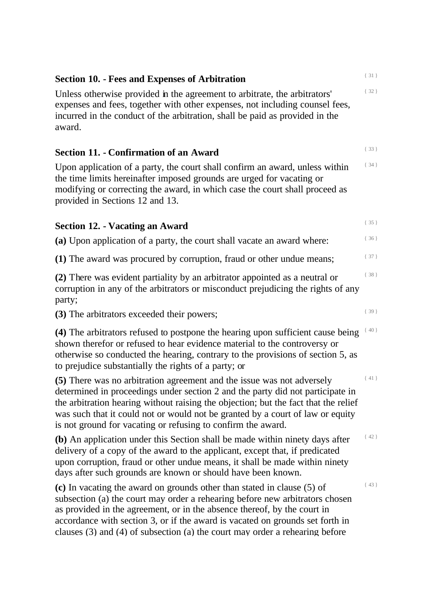| <b>Section 10. - Fees and Expenses of Arbitration</b>                                                                                                                                                                                                                                                                                                                                                | ${31}$   |
|------------------------------------------------------------------------------------------------------------------------------------------------------------------------------------------------------------------------------------------------------------------------------------------------------------------------------------------------------------------------------------------------------|----------|
| Unless otherwise provided in the agreement to arbitrate, the arbitrators'<br>expenses and fees, together with other expenses, not including counsel fees,<br>incurred in the conduct of the arbitration, shall be paid as provided in the<br>award.                                                                                                                                                  | ${32}$   |
| <b>Section 11. - Confirmation of an Award</b>                                                                                                                                                                                                                                                                                                                                                        | ${33}$   |
| Upon application of a party, the court shall confirm an award, unless within<br>the time limits hereinafter imposed grounds are urged for vacating or<br>modifying or correcting the award, in which case the court shall proceed as<br>provided in Sections 12 and 13.                                                                                                                              | ${34}$   |
| <b>Section 12. - Vacating an Award</b>                                                                                                                                                                                                                                                                                                                                                               | ${35}$   |
| (a) Upon application of a party, the court shall vacate an award where:                                                                                                                                                                                                                                                                                                                              | ${36}$   |
| (1) The award was procured by corruption, fraud or other undue means;                                                                                                                                                                                                                                                                                                                                | ${37}$   |
| (2) There was evident partiality by an arbitrator appointed as a neutral or<br>corruption in any of the arbitrators or misconduct prejudicing the rights of any<br>party;                                                                                                                                                                                                                            | ${38}$   |
| (3) The arbitrators exceeded their powers;                                                                                                                                                                                                                                                                                                                                                           | ${39}$   |
| (4) The arbitrators refused to postpone the hearing upon sufficient cause being<br>shown therefor or refused to hear evidence material to the controversy or<br>otherwise so conducted the hearing, contrary to the provisions of section 5, as<br>to prejudice substantially the rights of a party; or                                                                                              | $40$ }   |
| (5) There was no arbitration agreement and the issue was not adversely<br>determined in proceedings under section 2 and the party did not participate in<br>the arbitration hearing without raising the objection; but the fact that the relief<br>was such that it could not or would not be granted by a court of law or equity<br>is not ground for vacating or refusing to confirm the award.    | $\{41\}$ |
| (b) An application under this Section shall be made within ninety days after<br>delivery of a copy of the award to the applicant, except that, if predicated<br>upon corruption, fraud or other undue means, it shall be made within ninety<br>days after such grounds are known or should have been known.                                                                                          | ${42}$   |
| (c) In vacating the award on grounds other than stated in clause (5) of<br>subsection (a) the court may order a rehearing before new arbitrators chosen<br>as provided in the agreement, or in the absence thereof, by the court in<br>accordance with section 3, or if the award is vacated on grounds set forth in<br>clauses (3) and (4) of subsection (a) the court may order a rehearing before | ${43}$   |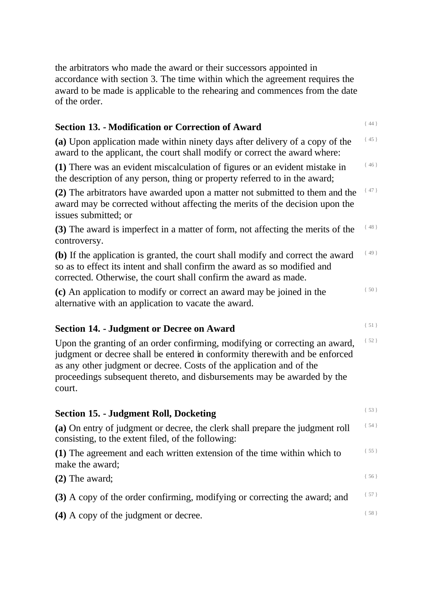the arbitrators who made the award or their successors appointed in accordance with section 3. The time within which the agreement requires the award to be made is applicable to the rehearing and commences from the date of the order.

| <b>Section 13. - Modification or Correction of Award</b>                                                                                                                                                                                                                                                                | ${44}$   |
|-------------------------------------------------------------------------------------------------------------------------------------------------------------------------------------------------------------------------------------------------------------------------------------------------------------------------|----------|
| (a) Upon application made within ninety days after delivery of a copy of the<br>award to the applicant, the court shall modify or correct the award where:                                                                                                                                                              | ${45}$   |
| (1) There was an evident miscalculation of figures or an evident mistake in<br>the description of any person, thing or property referred to in the award;                                                                                                                                                               | ${46}$   |
| (2) The arbitrators have awarded upon a matter not submitted to them and the<br>award may be corrected without affecting the merits of the decision upon the<br>issues submitted; or                                                                                                                                    | ${47}$   |
| (3) The award is imperfect in a matter of form, not affecting the merits of the<br>controversy.                                                                                                                                                                                                                         | ${48}$   |
| (b) If the application is granted, the court shall modify and correct the award<br>so as to effect its intent and shall confirm the award as so modified and<br>corrected. Otherwise, the court shall confirm the award as made.                                                                                        | ${49}$   |
| (c) An application to modify or correct an award may be joined in the<br>alternative with an application to vacate the award.                                                                                                                                                                                           | ${50}$   |
| <b>Section 14. - Judgment or Decree on Award</b>                                                                                                                                                                                                                                                                        | ${51}$   |
| Upon the granting of an order confirming, modifying or correcting an award,<br>judgment or decree shall be entered in conformity therewith and be enforced<br>as any other judgment or decree. Costs of the application and of the<br>proceedings subsequent thereto, and disbursements may be awarded by the<br>court. | ${52}$   |
| <b>Section 15. - Judgment Roll, Docketing</b>                                                                                                                                                                                                                                                                           | ${53}$   |
| (a) On entry of judgment or decree, the clerk shall prepare the judgment roll<br>consisting, to the extent filed, of the following:                                                                                                                                                                                     | ${54}$   |
| (1) The agreement and each written extension of the time within which to<br>make the award;                                                                                                                                                                                                                             | ${55}$   |
| $(2)$ The award;                                                                                                                                                                                                                                                                                                        | ${56}$   |
| (3) A copy of the order confirming, modifying or correcting the award; and                                                                                                                                                                                                                                              | ${57}$   |
| (4) A copy of the judgment or decree.                                                                                                                                                                                                                                                                                   | $\{58\}$ |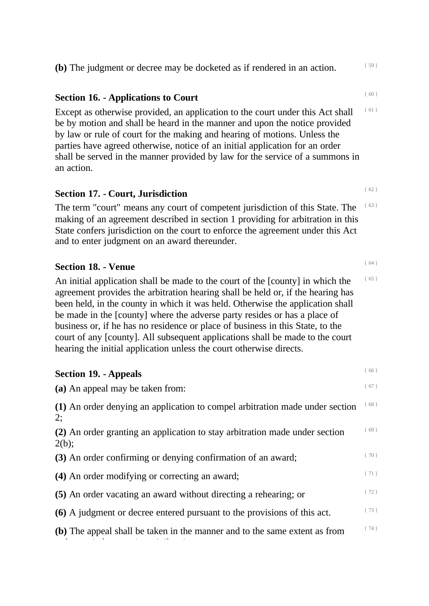| State confers jurisdiction on the court to enforce the agreement under this Act<br>and to enter judgment on an award thereunder.                                                                                                                                                                                                                                                                                                                                                                                                                                           |        |
|----------------------------------------------------------------------------------------------------------------------------------------------------------------------------------------------------------------------------------------------------------------------------------------------------------------------------------------------------------------------------------------------------------------------------------------------------------------------------------------------------------------------------------------------------------------------------|--------|
| <b>Section 18. - Venue</b>                                                                                                                                                                                                                                                                                                                                                                                                                                                                                                                                                 | ${64}$ |
| An initial application shall be made to the court of the [county] in which the<br>agreement provides the arbitration hearing shall be held or, if the hearing has<br>been held, in the county in which it was held. Otherwise the application shall<br>be made in the [county] where the adverse party resides or has a place of<br>business or, if he has no residence or place of business in this State, to the<br>court of any [county]. All subsequent applications shall be made to the court<br>hearing the initial application unless the court otherwise directs. | ${65}$ |
| <b>Section 19. - Appeals</b>                                                                                                                                                                                                                                                                                                                                                                                                                                                                                                                                               | ${66}$ |
| (a) An appeal may be taken from:                                                                                                                                                                                                                                                                                                                                                                                                                                                                                                                                           | ${67}$ |
| (1) An order denying an application to compel arbitration made under section<br>2;                                                                                                                                                                                                                                                                                                                                                                                                                                                                                         | ${68}$ |
| (2) An order granting an application to stay arbitration made under section<br>2(b);                                                                                                                                                                                                                                                                                                                                                                                                                                                                                       | ${69}$ |
| (3) An order confirming or denying confirmation of an award;                                                                                                                                                                                                                                                                                                                                                                                                                                                                                                               | ${70}$ |
| (4) An order modifying or correcting an award;                                                                                                                                                                                                                                                                                                                                                                                                                                                                                                                             | ${71}$ |
| (5) An order vacating an award without directing a rehearing; or                                                                                                                                                                                                                                                                                                                                                                                                                                                                                                           | ${72}$ |
| (6) A judgment or decree entered pursuant to the provisions of this act.                                                                                                                                                                                                                                                                                                                                                                                                                                                                                                   | ${73}$ |
| (b) The appeal shall be taken in the manner and to the same extent as from                                                                                                                                                                                                                                                                                                                                                                                                                                                                                                 | ${74}$ |

be by motion and shall be heard in the manner and upon the notice provided by law or rule of court for the making and hearing of motions. Unless the parties have agreed otherwise, notice of an initial application for an order shall be served in the manner provided by law for the service of a summons in an action.

# **Section 17. - Court, Jurisdiction**

The term "court" means any court of competent jurisdiction of this State. The making of an agreement described in section 1 providing for arbitration in this State confers jurisdiction on the court to enforce the agreement under this Act { 63 }

## **Section 16. - Applications to Court** <br> **Section 16. - Applications to Court**

**(b)** The judgment or decree may be docketed as if rendered in an action.

Except as otherwise provided, an application to the court under this Act shall

{ 61 }